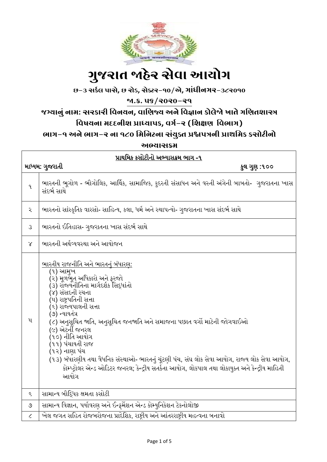

# ગ ુજરાત જાહેર સેવા આયોગ

છ-૩ સર્કલ પાસે**,** છ રોડ**,** સેક્ટર-૧૦/એ**,** ગાાંધીનગર-૩૮૨૦૧૦

જા.ક્ર. ૫૬/૨૦૨૦-૨૧

# જગ્યાનુાં નામ: સરર્ારી વવનયન**,** વાવિજ્ય અને વવજ્ઞાન ર્ોલેજો ખાતે ગવિતશાસ્ત્ર

### વિષયના મદદનીશ પ્રાધ્યાપક, વર્ગ-ર (શિક્ષણ વિભાગ)

ભાગ-૧ અને ભાગ-૨ ના ૧૮૦ વમવનટના સાંયુક્ત પ્રશ્નપત્રની પ્રાથવમર્ ર્સોટીનો

અભ્યાસક્રમ

| પ્રાથમિક કસોટીનો અભ્યાસક્રમ ભાગ -૧ |                                                                                                                                                                                                                                                                                                                                                                                                                                                                                                                                                                                     |  |
|------------------------------------|-------------------------------------------------------------------------------------------------------------------------------------------------------------------------------------------------------------------------------------------------------------------------------------------------------------------------------------------------------------------------------------------------------------------------------------------------------------------------------------------------------------------------------------------------------------------------------------|--|
| માધ્યમ: ગુજરાતી<br>કુલ ગુણ :૧૦૦    |                                                                                                                                                                                                                                                                                                                                                                                                                                                                                                                                                                                     |  |
| 9.                                 | ભારતની ભૂગોળ - ભૌગોલિક, આર્થિક, સામાજિક, કુદરતી સંસાધન અને વસ્તી અંગેની બાબતો-  ગુજરાતના ખાસ<br>સંદર્ભ સાથે                                                                                                                                                                                                                                                                                                                                                                                                                                                                         |  |
| ર                                  | ભારતનો સાંસ્કૃતિક વારસો- સાહિત્ય, કલા, ધર્મ અને સ્થાપત્યો- ગુજરાતના ખાસ સંદર્ભ સાથે                                                                                                                                                                                                                                                                                                                                                                                                                                                                                                 |  |
| $\mathcal{S}$                      | ભારતનો ઈતિહાસ- ગુજરાતના ખાસ સંદર્ભ સાથે                                                                                                                                                                                                                                                                                                                                                                                                                                                                                                                                             |  |
| $\chi$                             | ભારતની અર્થવ્યવસ્થા અને આયોજન                                                                                                                                                                                                                                                                                                                                                                                                                                                                                                                                                       |  |
| $\mathbf{u}$                       | <u>ભારતીય રાજનીતિ અને ભારતનું બંધારણ:</u><br>(૧) આમુખ<br>(૨) મળભેત અધિકારો અને ફરજો<br>(૩) રૉજ્યનીતિના માર્ગદર્શક સિદ્ધાંતો<br>(૪) સંસદની રચના<br>(૫) રાષ્ટ્રપતિની સત્તા<br>(૬) રાજ્યપાલની સત્તા<br>(૭) ન્યાયતંત્ર<br>(૮) અનુસુચિત જાતિ, અનુસુચિત જનજાતિ અને સમાજના પછાત વર્ગો માટેની જોગવાઈઓ<br>(૯) એટર્ની જનરલ<br>(૧૦) નીતિ આયોગ<br>(૧૧) પંચાયતી રાજ<br>(૧૨) નાણા પંચ<br>(૧૩) બંધારણીય તથા વૈધનિક સંસ્થાઓ- ભારતનું ચૂંટણી પંચ, સંઘ લોક સેવા આયોગ, રાજ્ય લોક સેવા આયોગ,<br>કોમ્પ્ટ્રોલર એન્ડ ઓડિટર જનરલ; કેન્દ્રીય સતર્કતા આયોગ, લોકપાલ તથા લોકાયુક્ત અને કેન્દ્રીય માહિતી<br>આયોગ |  |
| $\boldsymbol{\xi}$                 | સામાન્ય બૌદ્ધિક ક્ષમતા કસોટી                                                                                                                                                                                                                                                                                                                                                                                                                                                                                                                                                        |  |
| $\mathcal{O}$                      | સામાન્ય વિજ્ઞાન, પર્યાવરણ અને ઈન્ફર્મેશન એન્ડ કોમ્યુનિકેશન ટેકનોલોજી                                                                                                                                                                                                                                                                                                                                                                                                                                                                                                                |  |
| $\mathcal{L}_{\mathcal{L}}$        | ખેલ જગત સહિત રોજબરોજના પ્રાદેશિક, રાષ્ટ્રીય અને આંતરરાષ્ટ્રીય મહત્વના બનાવો                                                                                                                                                                                                                                                                                                                                                                                                                                                                                                         |  |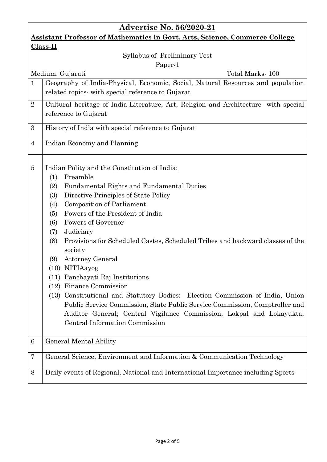| <b>Advertise No. 56/2020-21</b>                                                    |                                                                                                                                                                                                                                                                                                                                                                                                                                                                                                                                                                                                                                                                                                                                                                                                              |  |
|------------------------------------------------------------------------------------|--------------------------------------------------------------------------------------------------------------------------------------------------------------------------------------------------------------------------------------------------------------------------------------------------------------------------------------------------------------------------------------------------------------------------------------------------------------------------------------------------------------------------------------------------------------------------------------------------------------------------------------------------------------------------------------------------------------------------------------------------------------------------------------------------------------|--|
| <b>Assistant Professor of Mathematics in Govt. Arts, Science, Commerce College</b> |                                                                                                                                                                                                                                                                                                                                                                                                                                                                                                                                                                                                                                                                                                                                                                                                              |  |
| Class-II                                                                           |                                                                                                                                                                                                                                                                                                                                                                                                                                                                                                                                                                                                                                                                                                                                                                                                              |  |
| Syllabus of Preliminary Test                                                       |                                                                                                                                                                                                                                                                                                                                                                                                                                                                                                                                                                                                                                                                                                                                                                                                              |  |
| Paper-1                                                                            |                                                                                                                                                                                                                                                                                                                                                                                                                                                                                                                                                                                                                                                                                                                                                                                                              |  |
| Total Marks-100<br>Medium: Gujarati                                                |                                                                                                                                                                                                                                                                                                                                                                                                                                                                                                                                                                                                                                                                                                                                                                                                              |  |
| $\mathbf{1}$                                                                       | Geography of India-Physical, Economic, Social, Natural Resources and population<br>related topics- with special reference to Gujarat                                                                                                                                                                                                                                                                                                                                                                                                                                                                                                                                                                                                                                                                         |  |
| $\overline{2}$                                                                     | Cultural heritage of India-Literature, Art, Religion and Architecture with special<br>reference to Gujarat                                                                                                                                                                                                                                                                                                                                                                                                                                                                                                                                                                                                                                                                                                   |  |
| 3                                                                                  | History of India with special reference to Gujarat                                                                                                                                                                                                                                                                                                                                                                                                                                                                                                                                                                                                                                                                                                                                                           |  |
| $\overline{4}$                                                                     | Indian Economy and Planning                                                                                                                                                                                                                                                                                                                                                                                                                                                                                                                                                                                                                                                                                                                                                                                  |  |
| $\overline{5}$                                                                     | Indian Polity and the Constitution of India:<br>Preamble<br>(1)<br>Fundamental Rights and Fundamental Duties<br>(2)<br>Directive Principles of State Policy<br>(3)<br><b>Composition of Parliament</b><br>(4)<br>Powers of the President of India<br>(5)<br>Powers of Governor<br>(6)<br>Judiciary<br>(7)<br>Provisions for Scheduled Castes, Scheduled Tribes and backward classes of the<br>(8)<br>society<br><b>Attorney General</b><br>(9)<br>(10) NITIAayog<br>(11) Panchayati Raj Institutions<br>Finance Commission<br>(12)<br>(13) Constitutional and Statutory Bodies: Election Commission of India, Union<br>Public Service Commission, State Public Service Commission, Comptroller and<br>Auditor General; Central Vigilance Commission, Lokpal and Lokayukta,<br>Central Information Commission |  |
| 6                                                                                  | General Mental Ability                                                                                                                                                                                                                                                                                                                                                                                                                                                                                                                                                                                                                                                                                                                                                                                       |  |
| 7                                                                                  | General Science, Environment and Information & Communication Technology                                                                                                                                                                                                                                                                                                                                                                                                                                                                                                                                                                                                                                                                                                                                      |  |
| 8                                                                                  | Daily events of Regional, National and International Importance including Sports                                                                                                                                                                                                                                                                                                                                                                                                                                                                                                                                                                                                                                                                                                                             |  |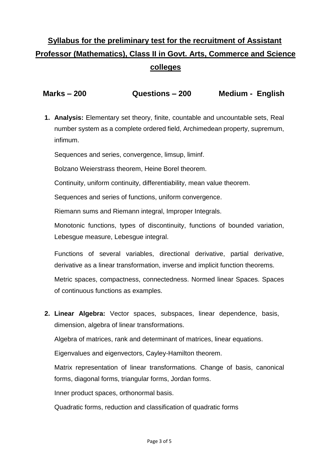## **Syllabus for the preliminary test for the recruitment of Assistant Professor (Mathematics), Class II in Govt. Arts, Commerce and Science colleges**

 **Marks – 200 Questions – 200 Medium - English**

**1. Analysis:** Elementary set theory, finite, countable and uncountable sets, Real number system as a complete ordered field, Archimedean property, supremum, infimum.

Sequences and series, convergence, limsup, liminf.

Bolzano Weierstrass theorem, Heine Borel theorem.

Continuity, uniform continuity, differentiability, mean value theorem.

Sequences and series of functions, uniform convergence.

Riemann sums and Riemann integral, Improper Integrals.

Monotonic functions, types of discontinuity, functions of bounded variation, Lebesgue measure, Lebesgue integral.

Functions of several variables, directional derivative, partial derivative, derivative as a linear transformation, inverse and implicit function theorems.

Metric spaces, compactness, connectedness. Normed linear Spaces. Spaces of continuous functions as examples.

**2. Linear Algebra:** Vector spaces, subspaces, linear dependence, basis, dimension, algebra of linear transformations.

Algebra of matrices, rank and determinant of matrices, linear equations.

Eigenvalues and eigenvectors, Cayley-Hamilton theorem.

Matrix representation of linear transformations. Change of basis, canonical forms, diagonal forms, triangular forms, Jordan forms.

Inner product spaces, orthonormal basis.

Quadratic forms, reduction and classification of quadratic forms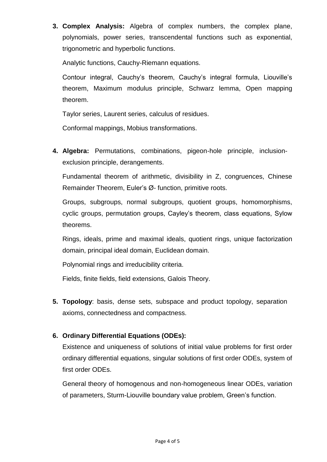**3. Complex Analysis:** Algebra of complex numbers, the complex plane, polynomials, power series, transcendental functions such as exponential, trigonometric and hyperbolic functions.

Analytic functions, Cauchy-Riemann equations.

Contour integral, Cauchy's theorem, Cauchy's integral formula, Liouville's theorem, Maximum modulus principle, Schwarz lemma, Open mapping theorem.

Taylor series, Laurent series, calculus of residues.

Conformal mappings, Mobius transformations.

**4. Algebra:** Permutations, combinations, pigeon-hole principle, inclusionexclusion principle, derangements.

Fundamental theorem of arithmetic, divisibility in Z, congruences, Chinese Remainder Theorem, Euler's Ø- function, primitive roots.

Groups, subgroups, normal subgroups, quotient groups, homomorphisms, cyclic groups, permutation groups, Cayley's theorem, class equations, Sylow theorems.

Rings, ideals, prime and maximal ideals, quotient rings, unique factorization domain, principal ideal domain, Euclidean domain.

Polynomial rings and irreducibility criteria.

Fields, finite fields, field extensions, Galois Theory.

**5. Topology**: basis, dense sets, subspace and product topology, separation axioms, connectedness and compactness.

#### **6. Ordinary Differential Equations (ODEs):**

Existence and uniqueness of solutions of initial value problems for first order ordinary differential equations, singular solutions of first order ODEs, system of first order ODEs.

General theory of homogenous and non-homogeneous linear ODEs, variation of parameters, Sturm-Liouville boundary value problem, Green's function.